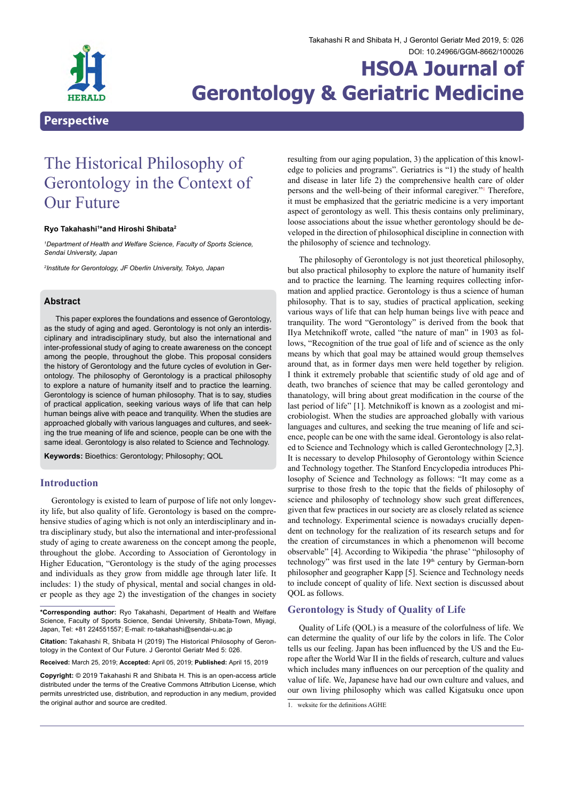

# **HSOA Journal of Gerontology & Geriatric Medicine**

## The Historical Philosophy of Gerontology in the Context of Our Future

#### **Ryo Takahashi1 \*and Hiroshi Shibata2**

*1 Department of Health and Welfare Science, Faculty of Sports Science, Sendai University, Japan*

*2 Institute for Gerontology, JF Oberlin University, Tokyo, Japan*

## **Abstract**

This paper explores the foundations and essence of Gerontology, as the study of aging and aged. Gerontology is not only an interdisciplinary and intradisciplinary study, but also the international and inter-professional study of aging to create awareness on the concept among the people, throughout the globe. This proposal considers the history of Gerontology and the future cycles of evolution in Gerontology. The philosophy of Gerontology is a practical philosophy to explore a nature of humanity itself and to practice the learning. Gerontology is science of human philosophy. That is to say, studies of practical application, seeking various ways of life that can help human beings alive with peace and tranquility. When the studies are approached globally with various languages and cultures, and seeking the true meaning of life and science, people can be one with the same ideal. Gerontology is also related to Science and Technology.

**Keywords:** Bioethics: Gerontology; Philosophy; QOL

## **Introduction**

Gerontology is existed to learn of purpose of life not only longevity life, but also quality of life. Gerontology is based on the comprehensive studies of aging which is not only an interdisciplinary and intra disciplinary study, but also the international and inter-professional study of aging to create awareness on the concept among the people, throughout the globe. According to Association of Gerontology in Higher Education, "Gerontology is the study of the aging processes and individuals as they grow from middle age through later life. It includes: 1) the study of physical, mental and social changes in older people as they age 2) the investigation of the changes in society

**Citation:** Takahashi R, Shibata H (2019) The Historical Philosophy of Geron- tology in the Context of Our Future. J Gerontol Geriatr Med 5: 026.

**Received:** March 25, 2019; **Accepted:** April 05, 2019; **Published:** April 15, 2019

<span id="page-0-1"></span>resulting from our aging population, 3) the application of this knowledge to policies and programs". Geriatrics is "1) the study of health and disease in later life 2) the comprehensive health care of older persons and the well-being of their informal caregiver."[1](#page-0-0) Therefore, it must be emphasized that the geriatric medicine is a very important aspect of gerontology as well. This thesis contains only preliminary, loose associations about the issue whether gerontology should be developed in the direction of philosophical discipline in connection with the philosophy of science and technology.

The philosophy of Gerontology is not just theoretical philosophy, but also practical philosophy to explore the nature of humanity itself and to practice the learning. The learning requires collecting information and applied practice. Gerontology is thus a science of human philosophy. That is to say, studies of practical application, seeking various ways of life that can help human beings live with peace and tranquility. The word "Gerontology" is derived from the book that IIya Metchnikoff wrote, called "the nature of man" in 1903 as follows, "Recognition of the true goal of life and of science as the only means by which that goal may be attained would group themselves around that, as in former days men were held together by religion. I think it extremely probable that scientific study of old age and of death, two branches of science that may be called gerontology and thanatology, will bring about great modification in the course of the last period of life" [1]. Metchnikoff is known as a zoologist and microbiologist. When the studies are approached globally with various languages and cultures, and seeking the true meaning of life and science, people can be one with the same ideal. Gerontology is also related to Science and Technology which is called Gerontechnology [2,3]. It is necessary to develop Philosophy of Gerontology within Science and Technology together. The Stanford Encyclopedia introduces Philosophy of Science and Technology as follows: "It may come as a surprise to those fresh to the topic that the fields of philosophy of science and philosophy of technology show such great differences, given that few practices in our society are as closely related as science and technology. Experimental science is nowadays crucially dependent on technology for the realization of its research setups and for the creation of circumstances in which a phenomenon will become observable" [4]. According to Wikipedia 'the phrase' "philosophy of technology" was first used in the late 19<sup>th</sup> century by German-born philosopher and geographer Kapp [5]. Science and Technology needs to include concept of quality of life. Next section is discussed about QOL as follows.

## **Gerontology is Study of Quality of Life**

Quality of Life (QOL) is a measure of the colorfulness of life. We can determine the quality of our life by the colors in life. The Color tells us our feeling. Japan has been influenced by the US and the Europe after the World War II in the fields of research, culture and values which includes many influences on our perception of the quality and value of life. We, Japanese have had our own culture and values, and our own living philosophy which was called Kigatsuku once upon

**<sup>\*</sup>Corresponding author:** Ryo Takahashi, Department of Health and Welfare Science, Faculty of Sports Science, Sendai University, Shibata-Town, Miyagi, Japan, Tel: +81 224551557; E-mail: ro-takahashi@sendai-u.ac.jp

**Copyright:** © 2019 Takahashi R and Shibata H. This is an open-access article distributed under the terms of the Creative Commons Attribution License, which permits unrestricted use, distribution, and reproduction in any medium, provided the original author and source are credited.

<span id="page-0-0"></span>[<sup>1.</sup> weksite for the definitions AGHE](#page-0-1)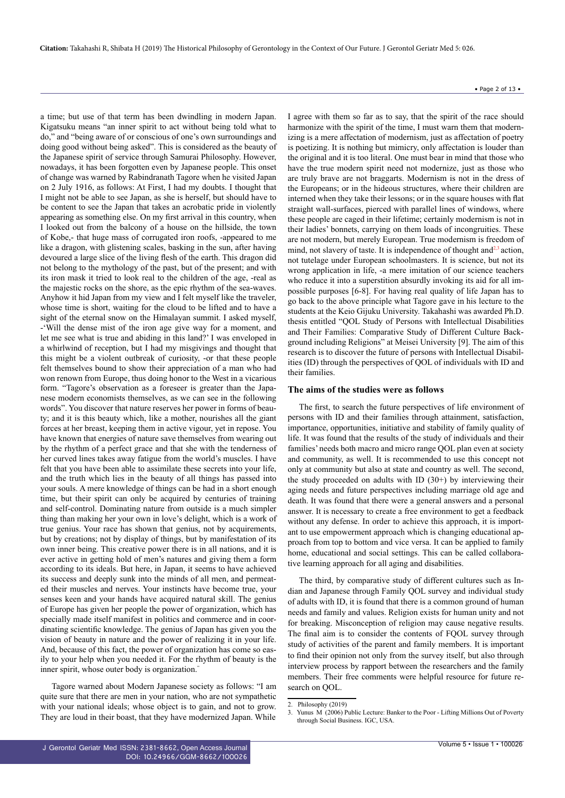a time; but use of that term has been dwindling in modern Japan. Kigatsuku means "an inner spirit to act without being told what to do," and "being aware of or conscious of one's own surroundings and doing good without being asked". This is considered as the beauty of the Japanese spirit of service through Samurai Philosophy. However, nowadays, it has been forgotten even by Japanese people. This onset of change was warned by Rabindranath Tagore when he visited Japan on 2 July 1916, as follows: At First, I had my doubts. I thought that I might not be able to see Japan, as she is herself, but should have to be content to see the Japan that takes an acrobatic pride in violently appearing as something else. On my first arrival in this country, when I looked out from the balcony of a house on the hillside, the town of Kobe,- that huge mass of corrugated iron roofs, -appeared to me like a dragon, with glistening scales, basking in the sun, after having devoured a large slice of the living flesh of the earth. This dragon did not belong to the mythology of the past, but of the present; and with its iron mask it tried to look real to the children of the age, -real as the majestic rocks on the shore, as the epic rhythm of the sea-waves. Anyhow it hid Japan from my view and I felt myself like the traveler, whose time is short, waiting for the cloud to be lifted and to have a sight of the eternal snow on the Himalayan summit. I asked myself, -'Will the dense mist of the iron age give way for a moment, and let me see what is true and abiding in this land?' I was enveloped in a whirlwind of reception, but I had my misgivings and thought that this might be a violent outbreak of curiosity, -or that these people felt themselves bound to show their appreciation of a man who had won renown from Europe, thus doing honor to the West in a vicarious form. "Tagore's observation as a foreseer is greater than the Japanese modern economists themselves, as we can see in the following words". You discover that nature reserves her power in forms of beauty; and it is this beauty which, like a mother, nourishes all the giant forces at her breast, keeping them in active vigour, yet in repose. You have known that energies of nature save themselves from wearing out by the rhythm of a perfect grace and that she with the tenderness of her curved lines takes away fatigue from the world's muscles. I have felt that you have been able to assimilate these secrets into your life, and the truth which lies in the beauty of all things has passed into your souls. A mere knowledge of things can be had in a short enough time, but their spirit can only be acquired by centuries of training and self-control. Dominating nature from outside is a much simpler thing than making her your own in love's delight, which is a work of true genius. Your race has shown that genius, not by acquirements, but by creations; not by display of things, but by manifestation of its own inner being. This creative power there is in all nations, and it is ever active in getting hold of men's natures and giving them a form according to its ideals. But here, in Japan, it seems to have achieved its success and deeply sunk into the minds of all men, and permeated their muscles and nerves. Your instincts have become true, your senses keen and your hands have acquired natural skill. The genius of Europe has given her people the power of organization, which has specially made itself manifest in politics and commerce and in coordinating scientific knowledge. The genius of Japan has given you the vision of beauty in nature and the power of realizing it in your life. And, because of this fact, the power of organization has come so easily to your help when you needed it. For the rhythm of beauty is the inner spirit, whose outer body is organization.

Tagore warned about Modern Japanese society as follows: "I am quite sure that there are men in your nation, who are not sympathetic with your national ideals; whose object is to gain, and not to grow. They are loud in their boast, that they have modernized Japan. While

<span id="page-1-3"></span><span id="page-1-2"></span>I agree with them so far as to say, that the spirit of the race should harmonize with the spirit of the time, I must warn them that modernizing is a mere affectation of modernism, just as affectation of poetry is poetizing. It is nothing but mimicry, only affectation is louder than the original and it is too literal. One must bear in mind that those who have the true modern spirit need not modernize, just as those who are truly brave are not braggarts. Modernism is not in the dress of the Europeans; or in the hideous structures, where their children are interned when they take their lessons; or in the square houses with flat straight wall-surfaces, pierced with parallel lines of windows, where these people are caged in their lifetime; certainly modernism is not in their ladies' bonnets, carrying on them loads of incongruities. These are not modern, but merely European. True modernism is freedom of mind, not slavery of taste. It is independence of thought and $2<sup>3</sup>$  $2<sup>3</sup>$  $2<sup>3</sup>$  action, not tutelage under European schoolmasters. It is science, but not its wrong application in life, -a mere imitation of our science teachers who reduce it into a superstition absurdly invoking its aid for all impossible purposes [6-8]. For having real quality of life Japan has to go back to the above principle what Tagore gave in his lecture to the students at the Keio Gijuku University. Takahashi was awarded Ph.D. thesis entitled "QOL Study of Persons with Intellectual Disabilities and Their Families: Comparative Study of Different Culture Background including Religions" at Meisei University [9]. The aim of this research is to discover the future of persons with Intellectual Disabilities (ID) through the perspectives of QOL of individuals with ID and their families.

#### **The aims of the studies were as follows**

The first, to search the future perspectives of life environment of persons with ID and their families through attainment, satisfaction, importance, opportunities, initiative and stability of family quality of life. It was found that the results of the study of individuals and their families' needs both macro and micro range QOL plan even at society and community, as well. It is recommended to use this concept not only at community but also at state and country as well. The second, the study proceeded on adults with ID (30+) by interviewing their aging needs and future perspectives including marriage old age and death. It was found that there were a general answers and a personal answer. It is necessary to create a free environment to get a feedback without any defense. In order to achieve this approach, it is important to use empowerment approach which is changing educational approach from top to bottom and vice versa. It can be applied to family home, educational and social settings. This can be called collaborative learning approach for all aging and disabilities.

The third, by comparative study of different cultures such as Indian and Japanese through Family QOL survey and individual study of adults with ID, it is found that there is a common ground of human needs and family and values. Religion exists for human unity and not for breaking. Misconception of religion may cause negative results. The final aim is to consider the contents of FQOL survey through study of activities of the parent and family members. It is important to find their opinion not only from the survey itself, but also through interview process by rapport between the researchers and the family members. Their free comments were helpful resource for future research on QOL.

<span id="page-1-0"></span>[<sup>2.</sup> Philosophy \(2019\)](#page-1-2)

<span id="page-1-1"></span>Yunus M (2006) Public Lecture: Banker to the Poor - Lifting Millions Out of Poverty [through Social Business. IGC, USA.](#page-1-3)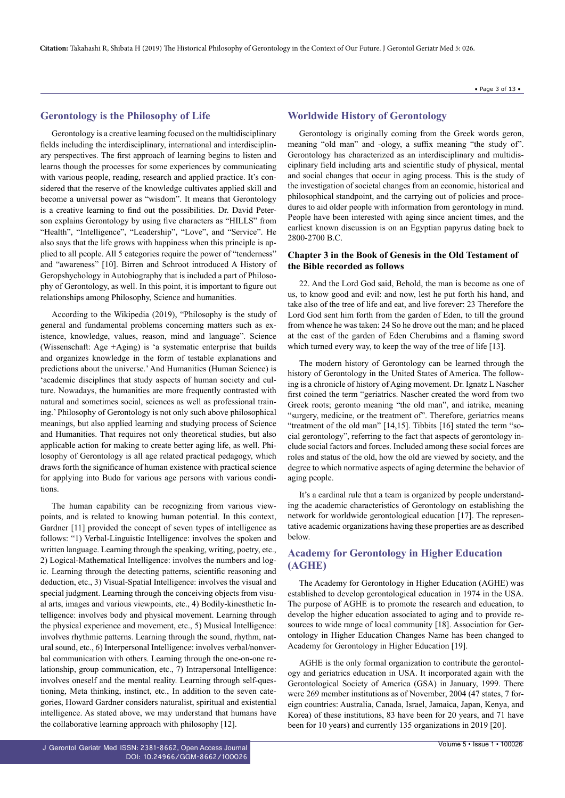#### **Gerontology is the Philosophy of Life**

Gerontology is a creative learning focused on the multidisciplinary fields including the interdisciplinary, international and interdisciplinary perspectives. The first approach of learning begins to listen and learns though the processes for some experiences by communicating with various people, reading, research and applied practice. It's considered that the reserve of the knowledge cultivates applied skill and become a universal power as "wisdom". It means that Gerontology is a creative learning to find out the possibilities. Dr. David Peterson explains Gerontology by using five characters as "HILLS" from "Health", "Intelligence", "Leadership", "Love", and "Service". He also says that the life grows with happiness when this principle is applied to all people. All 5 categories require the power of "tenderness" and "awareness" [10]. Birren and Schroot introduced A History of Geropshychology in Autobiography that is included a part of Philosophy of Gerontology, as well. In this point, it is important to figure out relationships among Philosophy, Science and humanities.

According to the Wikipedia (2019), "Philosophy is the study of general and fundamental problems concerning matters such as existence, knowledge, values, reason, mind and language". Science (Wissenschaft: Age +Aging) is 'a systematic enterprise that builds and organizes knowledge in the form of testable explanations and predictions about the universe.' And Humanities (Human Science) is 'academic disciplines that study aspects of human society and culture. Nowadays, the humanities are more frequently contrasted with natural and sometimes social, sciences as well as professional training.' Philosophy of Gerontology is not only such above philosophical meanings, but also applied learning and studying process of Science and Humanities. That requires not only theoretical studies, but also applicable action for making to create better aging life, as well. Philosophy of Gerontology is all age related practical pedagogy, which draws forth the significance of human existence with practical science for applying into Budo for various age persons with various conditions.

The human capability can be recognizing from various viewpoints, and is related to knowing human potential. In this context, Gardner [11] provided the concept of seven types of intelligence as follows: "1) Verbal-Linguistic Intelligence: involves the spoken and written language. Learning through the speaking, writing, poetry, etc., 2) Logical-Mathematical Intelligence: involves the numbers and logic. Learning through the detecting patterns, scientific reasoning and deduction, etc., 3) Visual-Spatial Intelligence: involves the visual and special judgment. Learning through the conceiving objects from visual arts, images and various viewpoints, etc., 4) Bodily-kinesthetic Intelligence: involves body and physical movement. Learning through the physical experience and movement, etc., 5) Musical Intelligence: involves rhythmic patterns. Learning through the sound, rhythm, natural sound, etc., 6) Interpersonal Intelligence: involves verbal/nonverbal communication with others. Learning through the one-on-one relationship, group communication, etc., 7) Intrapersonal Intelligence: involves oneself and the mental reality. Learning through self-questioning, Meta thinking, instinct, etc., In addition to the seven categories, Howard Gardner considers naturalist, spiritual and existential intelligence. As stated above, we may understand that humans have the collaborative learning approach with philosophy [12].

## **Worldwide History of Gerontology**

Gerontology is originally coming from the Greek words geron, meaning "old man" and -ology, a suffix meaning "the study of". Gerontology has characterized as an interdisciplinary and multidisciplinary field including arts and scientific study of physical, mental and social changes that occur in aging process. This is the study of the investigation of societal changes from an economic, historical and philosophical standpoint, and the carrying out of policies and procedures to aid older people with information from gerontology in mind. People have been interested with aging since ancient times, and the earliest known discussion is on an Egyptian papyrus dating back to 2800-2700 B.C.

## **Chapter 3 in the Book of Genesis in the Old Testament of the Bible recorded as follows**

22. And the Lord God said, Behold, the man is become as one of us, to know good and evil: and now, lest he put forth his hand, and take also of the tree of life and eat, and live forever: 23 Therefore the Lord God sent him forth from the garden of Eden, to till the ground from whence he was taken: 24 So he drove out the man; and he placed at the east of the garden of Eden Cherubims and a flaming sword which turned every way, to keep the way of the tree of life [13].

The modern history of Gerontology can be learned through the history of Gerontology in the United States of America. The following is a chronicle of history of Aging movement. Dr. Ignatz L Nascher first coined the term "geriatrics. Nascher created the word from two Greek roots; geronto meaning "the old man", and iatrike, meaning "surgery, medicine, or the treatment of". Therefore, geriatrics means "treatment of the old man" [14,15]. Tibbits [16] stated the term "social gerontology", referring to the fact that aspects of gerontology include social factors and forces. Included among these social forces are roles and status of the old, how the old are viewed by society, and the degree to which normative aspects of aging determine the behavior of aging people.

It's a cardinal rule that a team is organized by people understanding the academic characteristics of Gerontology on establishing the network for worldwide gerontological education [17]. The representative academic organizations having these properties are as described below.

## **Academy for Gerontology in Higher Education (AGHE)**

The Academy for Gerontology in Higher Education (AGHE) was established to develop gerontological education in 1974 in the USA. The purpose of AGHE is to promote the research and education, to develop the higher education associated to aging and to provide resources to wide range of local community [18]. Association for Gerontology in Higher Education Changes Name has been changed to Academy for Gerontology in Higher Education [19].

AGHE is the only formal organization to contribute the gerontology and geriatrics education in USA. It incorporated again with the Gerontological Society of America (GSA) in January, 1999. There were 269 member institutions as of November, 2004 (47 states, 7 foreign countries: Australia, Canada, Israel, Jamaica, Japan, Kenya, and Korea) of these institutions, 83 have been for 20 years, and 71 have been for 10 years) and currently 135 organizations in 2019 [20].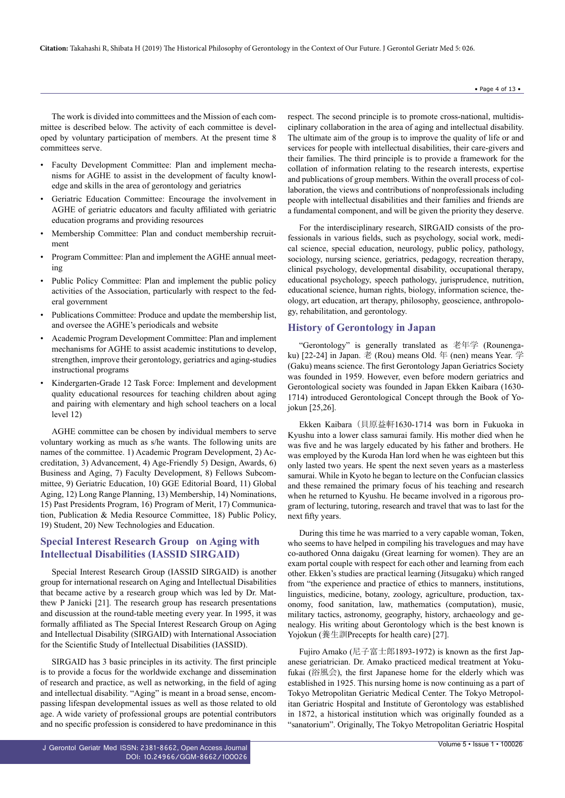• Faculty Development Committee: Plan and implement mechanisms for AGHE to assist in the development of faculty knowledge and skills in the area of gerontology and geriatrics

committees serve.

- Geriatric Education Committee: Encourage the involvement in AGHE of geriatric educators and faculty affiliated with geriatric education programs and providing resources
- Membership Committee: Plan and conduct membership recruitment
- Program Committee: Plan and implement the AGHE annual meeting
- Public Policy Committee: Plan and implement the public policy activities of the Association, particularly with respect to the federal government
- Publications Committee: Produce and update the membership list, and oversee the AGHE's periodicals and website
- Academic Program Development Committee: Plan and implement mechanisms for AGHE to assist academic institutions to develop, strengthen, improve their gerontology, geriatrics and aging-studies instructional programs
- Kindergarten-Grade 12 Task Force: Implement and development quality educational resources for teaching children about aging and pairing with elementary and high school teachers on a local level 12)

AGHE committee can be chosen by individual members to serve voluntary working as much as s/he wants. The following units are names of the committee. 1) Academic Program Development, 2) Accreditation, 3) Advancement, 4) Age-Friendly 5) Design, Awards, 6) Business and Aging, 7) Faculty Development, 8) Fellows Subcommittee, 9) Geriatric Education, 10) GGE Editorial Board, 11) Global Aging, 12) Long Range Planning, 13) Membership, 14) Nominations, 15) Past Presidents Program, 16) Program of Merit, 17) Communication, Publication & Media Resource Committee, 18) Public Policy, 19) Student, 20) New Technologies and Education.

## **Special Interest Research Group on Aging with Intellectual Disabilities (IASSID SIRGAID)**

Special Interest Research Group (IASSID SIRGAID) is another group for international research on Aging and Intellectual Disabilities that became active by a research group which was led by Dr. Matthew P Janicki [21]. The research group has research presentations and discussion at the round-table meeting every year. In 1995, it was formally affiliated as The Special Interest Research Group on Aging and Intellectual Disability (SIRGAID) with International Association for the Scientific Study of Intellectual Disabilities (IASSID).

SIRGAID has 3 basic principles in its activity. The first principle is to provide a focus for the worldwide exchange and dissemination of research and practice, as well as networking, in the field of aging and intellectual disability. "Aging" is meant in a broad sense, encompassing lifespan developmental issues as well as those related to old age. A wide variety of professional groups are potential contributors and no specific profession is considered to have predominance in this

respect. The second principle is to promote cross-national, multidisciplinary collaboration in the area of aging and intellectual disability. The ultimate aim of the group is to improve the quality of life or and services for people with intellectual disabilities, their care-givers and their families. The third principle is to provide a framework for the collation of information relating to the research interests, expertise and publications of group members. Within the overall process of collaboration, the views and contributions of nonprofessionals including people with intellectual disabilities and their families and friends are a fundamental component, and will be given the priority they deserve.

For the interdisciplinary research, SIRGAID consists of the professionals in various fields, such as psychology, social work, medical science, special education, neurology, public policy, pathology, sociology, nursing science, geriatrics, pedagogy, recreation therapy, clinical psychology, developmental disability, occupational therapy, educational psychology, speech pathology, jurisprudence, nutrition, educational science, human rights, biology, information science, theology, art education, art therapy, philosophy, geoscience, anthropology, rehabilitation, and gerontology.

## **History of Gerontology in Japan**

"Gerontology" is generally translated as 老年学 (Rounengaku) [22-24] in Japan. 老 (Rou) means Old. 年 (nen) means Year. 学 (Gaku) means science. The first Gerontology Japan Geriatrics Society was founded in 1959. However, even before modern geriatrics and Gerontological society was founded in Japan Ekken Kaibara (1630- 1714) introduced Gerontological Concept through the Book of Yojokun [25,26].

Ekken Kaibara (貝原益軒1630-1714 was born in Fukuoka in Kyushu into a lower class samurai family. His mother died when he was five and he was largely educated by his father and brothers. He was employed by the Kuroda Han lord when he was eighteen but this only lasted two years. He spent the next seven years as a masterless samurai. While in Kyoto he began to lecture on the Confucian classics and these remained the primary focus of his teaching and research when he returned to Kyushu. He became involved in a rigorous program of lecturing, tutoring, research and travel that was to last for the next fifty years.

During this time he was married to a very capable woman, Token, who seems to have helped in compiling his travelogues and may have co-authored Onna daigaku (Great learning for women). They are an exam portal couple with respect for each other and learning from each other. Ekken's studies are practical learning (Jitsugaku) which ranged from "the experience and practice of ethics to manners, institutions, linguistics, medicine, botany, zoology, agriculture, production, taxonomy, food sanitation, law, mathematics (computation), music, military tactics, astronomy, geography, history, archaeology and genealogy. His writing about Gerontology which is the best known is Yojokun (養生訓Precepts for health care) [27].

Fujiro Amako (尼子富士郎1893-1972) is known as the first Japanese geriatrician. Dr. Amako practiced medical treatment at Yokufukai (浴風会), the first Japanese home for the elderly which was established in 1925. This nursing home is now continuing as a part of Tokyo Metropolitan Geriatric Medical Center. The Tokyo Metropolitan Geriatric Hospital and Institute of Gerontology was established in 1872, a historical institution which was originally founded as a "sanatorium". Originally, The Tokyo Metropolitan Geriatric Hospital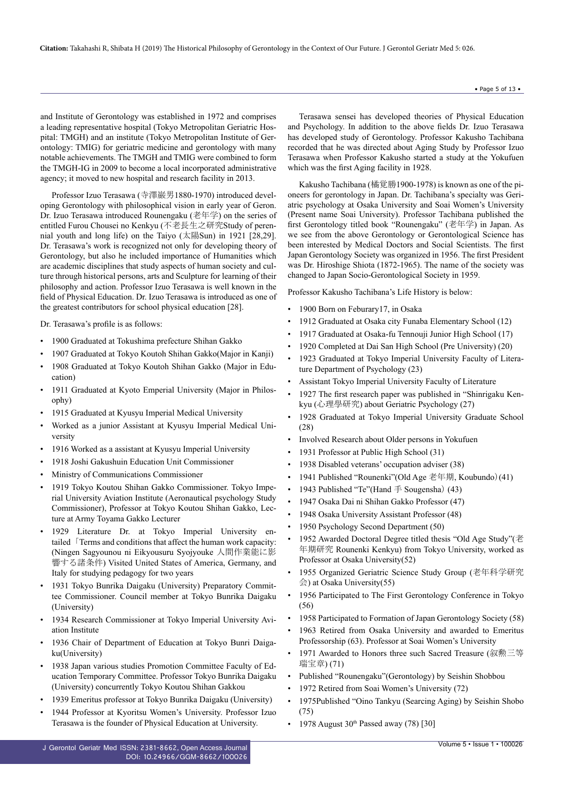and Institute of Gerontology was established in 1972 and comprises a leading representative hospital (Tokyo Metropolitan Geriatric Hospital: TMGH) and an institute (Tokyo Metropolitan Institute of Gerontology: TMIG) for geriatric medicine and gerontology with many notable achievements. The TMGH and TMIG were combined to form the TMGH-IG in 2009 to become a local incorporated administrative agency; it moved to new hospital and research facility in 2013.

Professor Izuo Terasawa (寺澤巖男1880-1970) introduced developing Gerontology with philosophical vision in early year of Geron. Dr. Izuo Terasawa introduced Rounengaku (老年学) on the series of entitled Furou Chousei no Kenkyu (不老長生之研究Study of perennial youth and long life) on the Taiyo (太陽Sun) in 1921 [28,29]. Dr. Terasawa's work is recognized not only for developing theory of Gerontology, but also he included importance of Humanities which are academic disciplines that study aspects of human society and culture through historical persons, arts and Sculpture for learning of their philosophy and action. Professor Izuo Terasawa is well known in the field of Physical Education. Dr. Izuo Terasawa is introduced as one of the greatest contributors for school physical education [28].

Dr. Terasawa's profile is as follows:

- 1900 Graduated at Tokushima prefecture Shihan Gakko
- 1907 Graduated at Tokyo Koutoh Shihan Gakko(Major in Kanji)
- 1908 Graduated at Tokyo Koutoh Shihan Gakko (Major in Education)
- 1911 Graduated at Kyoto Emperial University (Major in Philosophy)
- 1915 Graduated at Kyusyu Imperial Medical University
- Worked as a junior Assistant at Kyusyu Imperial Medical University
- 1916 Worked as a assistant at Kyusyu Imperial University
- 1918 Joshi Gakushuin Education Unit Commissioner
- Ministry of Communications Commissioner
- 1919 Tokyo Koutou Shihan Gakko Commissioner. Tokyo Imperial University Aviation Institute (Aeronautical psychology Study Commissioner), Professor at Tokyo Koutou Shihan Gakko, Lecture at Army Toyama Gakko Lecturer
- 1929 Literature Dr. at Tokyo Imperial University entailed「Terms and conditions that affect the human work capacity: (Ningen Sagyounou ni Eikyousuru Syojyouke 人間作業能に影 響する諸条件) Visited United States of America, Germany, and Italy for studying pedagogy for two years
- 1931 Tokyo Bunrika Daigaku (University) Preparatory Committee Commissioner. Council member at Tokyo Bunrika Daigaku (University)
- 1934 Research Commissioner at Tokyo Imperial University Aviation Institute
- 1936 Chair of Department of Education at Tokyo Bunri Daigaku(University)
- 1938 Japan various studies Promotion Committee Faculty of Education Temporary Committee. Professor Tokyo Bunrika Daigaku (University) concurrently Tokyo Koutou Shihan Gakkou
- 1939 Emeritus professor at Tokyo Bunrika Daigaku (University)
- 1944 Professor at Kyoritsu Women's University. Professor Izuo Terasawa is the founder of Physical Education at University.

Terasawa sensei has developed theories of Physical Education and Psychology. In addition to the above fields Dr. Izuo Terasawa has developed study of Gerontology. Professor Kakusho Tachibana recorded that he was directed about Aging Study by Professor Izuo Terasawa when Professor Kakusho started a study at the Yokufuen which was the first Aging facility in 1928.

Kakusho Tachibana (橘覚勝1900-1978) is known as one of the pioneers for gerontology in Japan. Dr. Tachibana's specialty was Geriatric psychology at Osaka University and Soai Women's University (Present name Soai University). Professor Tachibana published the first Gerontology titled book "Rounengaku" (老年学) in Japan. As we see from the above Gerontology or Gerontological Science has been interested by Medical Doctors and Social Scientists. The first Japan Gerontology Society was organized in 1956. The first President was Dr. Hiroshige Shiota (1872-1965). The name of the society was changed to Japan Socio-Gerontological Society in 1959.

Professor Kakusho Tachibana's Life History is below:

- 1900 Born on Feburary17, in Osaka
- 1912 Graduated at Osaka city Funaba Elementary School (12)
- 1917 Graduated at Osaka-fu Tennouji Junior High School (17)
- 1920 Completed at Dai San High School (Pre University) (20)
- 1923 Graduated at Tokyo Imperial University Faculty of Literature Department of Psychology (23)
- Assistant Tokyo Imperial University Faculty of Literature
- 1927 The first research paper was published in "Shinrigaku Kenkyu (心理學研究) about Geriatric Psychology (27)
- 1928 Graduated at Tokyo Imperial University Graduate School (28)
- Involved Research about Older persons in Yokufuen
- 1931 Professor at Public High School (31)
- 1938 Disabled veterans' occupation adviser (38)
- 1941 Published "Rounenki"(Old Age 老年期, Koubundo)(41)
- 1943 Published "Te"(Hand 手 Sougensha) (43)
- 1947 Osaka Dai ni Shihan Gakko Professor (47)
- 1948 Osaka University Assistant Professor (48)
- 1950 Psychology Second Department (50)
- 1952 Awarded Doctoral Degree titled thesis "Old Age Study"(老 年期研究 Rounenki Kenkyu) from Tokyo University, worked as Professor at Osaka University(52)
- 1955 Organized Geriatric Science Study Group (老年科学研究 会) at Osaka University(55)
- 1956 Participated to The First Gerontology Conference in Tokyo (56)
- 1958 Participated to Formation of Japan Gerontology Society (58)
- 1963 Retired from Osaka University and awarded to Emeritus Professorship (63). Professor at Soai Women's University
- 1971 Awarded to Honors three such Sacred Treasure (叙勲三等 瑞宝章) (71)
- Published "Rounengaku"(Gerontology) by Seishin Shobbou
- 1972 Retired from Soai Women's University (72)
- 1975Published "Oino Tankyu (Searcing Aging) by Seishin Shobo (75)
- 1978 August  $30<sup>th</sup>$  Passed away (78) [30]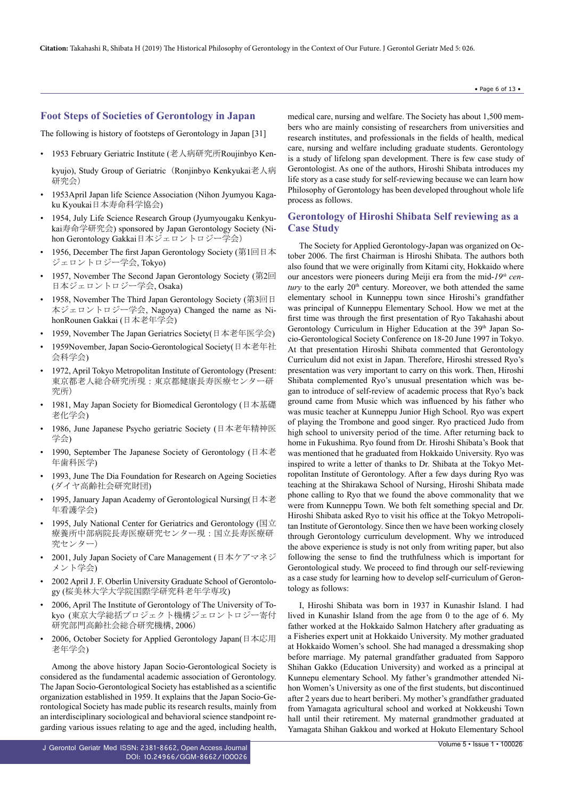## **Foot Steps of Societies of Gerontology in Japan**

The following is history of footsteps of Gerontology in Japan [31]

• 1953 February Geriatric Institute (老人病研究所Roujinbyo Ken-

kyujo), Study Group of Geriatric (Ronjinbyo Kenkyukai老人病 研究会)

- 1953April Japan life Science Association (Nihon Jyumyou Kagaku Kyoukai日本寿命科学協会)
- 1954, July Life Science Research Group (Jyumyougaku Kenkyukai寿命学研究会) sponsored by Japan Gerontology Society (Nihon Gerontology Gakkai日本ジェロントロジー学会)
- 1956, December The first Japan Gerontology Society (第1回日本 ジェロントロジー学会, Tokyo)
- 1957, November The Second Japan Gerontology Society (第2回 日本ジェロントロジー学会, Osaka)
- 1958, November The Third Japan Gerontology Society (第3回日 本ジェロントロジー学会, Nagoya) Changed the name as NihonRounen Gakkai (日本老年学会)
- 1959, November The Japan Geriatrics Society(日本老年医学会)
- 1959November, Japan Socio-Gerontological Society(日本老年社 会科学会)
- 1972, April Tokyo Metropolitan Institute of Gerontology (Present: 東京都老人総合研究所現:東京都健康長寿医療センター研 究所)
- 1981, May Japan Society for Biomedical Gerontology (日本基礎 老化学会)
- 1986, June Japanese Psycho geriatric Society (日本老年精神医 学会)
- 1990, September The Japanese Society of Gerontology (日本老 年歯科医学)
- 1993, June The Dia Foundation for Research on Ageing Societies (ダイヤ高齢社会研究財団)
- 1995, January Japan Academy of Gerontological Nursing(日本老 年看護学会)
- 1995, July National Center for Geriatrics and Gerontology (国立 療養所中部病院長寿医療研究センター現:国立長寿医療研 究センター)
- 2001, July Japan Society of Care Management (日本ケアマネジ メント学会)
- 2002 April J. F. Oberlin University Graduate School of Gerontology (桜美林大学大学院国際学研究科老年学専攻)
- 2006, April The Institute of Gerontology of The University of Tokyo (東京大学総括プロジェクト機構ジェロントロジー寄付 研究部門高齢社会総合研究機構, 2006)
- 2006, October Society for Applied Gerontology Japan(日本応用 老年学会)

Among the above history Japan Socio-Gerontological Society is considered as the fundamental academic association of Gerontology. The Japan Socio-Gerontological Society has established as a scientific organization established in 1959. It explains that the Japan Socio-Gerontological Society has made public its research results, mainly from an interdisciplinary sociological and behavioral science standpoint regarding various issues relating to age and the aged, including health,

J Gerontol Geriatr Med ISSN: 2381-8662, Open Access Journal DOI: [10.24966/GGM-8662/10002](http://doi.org/10.24966/GGM-8662/100026)6 medical care, nursing and welfare. The Society has about 1,500 members who are mainly consisting of researchers from universities and research institutes, and professionals in the fields of health, medical care, nursing and welfare including graduate students. Gerontology is a study of lifelong span development. There is few case study of Gerontologist. As one of the authors, Hiroshi Shibata introduces my life story as a case study for self-reviewing because we can learn how Philosophy of Gerontology has been developed throughout whole life process as follows.

## **Gerontology of Hiroshi Shibata Self reviewing as a Case Study**

The Society for Applied Gerontology-Japan was organized on October 2006. The first Chairman is Hiroshi Shibata. The authors both also found that we were originally from Kitami city, Hokkaido where our ancestors were pioneers during Meiji era from the mid-*19th cen*tury to the early 20<sup>th</sup> century. Moreover, we both attended the same elementary school in Kunneppu town since Hiroshi's grandfather was principal of Kunneppu Elementary School. How we met at the first time was through the first presentation of Ryo Takahashi about Gerontology Curriculum in Higher Education at the 39<sup>th</sup> Japan Socio-Gerontological Society Conference on 18-20 June 1997 in Tokyo. At that presentation Hiroshi Shibata commented that Gerontology Curriculum did not exist in Japan. Therefore, Hiroshi stressed Ryo's presentation was very important to carry on this work. Then, Hiroshi Shibata complemented Ryo's unusual presentation which was began to introduce of self-review of academic process that Ryo's back ground came from Music which was influenced by his father who was music teacher at Kunneppu Junior High School. Ryo was expert of playing the Trombone and good singer. Ryo practiced Judo from high school to university period of the time. After returning back to home in Fukushima. Ryo found from Dr. Hiroshi Shibata's Book that was mentioned that he graduated from Hokkaido University. Ryo was inspired to write a letter of thanks to Dr. Shibata at the Tokyo Metropolitan Institute of Gerontology. After a few days during Ryo was teaching at the Shirakawa School of Nursing, Hiroshi Shibata made phone calling to Ryo that we found the above commonality that we were from Kunneppu Town. We both felt something special and Dr. Hiroshi Shibata asked Ryo to visit his office at the Tokyo Metropolitan Institute of Gerontology. Since then we have been working closely through Gerontology curriculum development. Why we introduced the above experience is study is not only from writing paper, but also following the sense to find the truthfulness which is important for Gerontological study. We proceed to find through our self-reviewing as a case study for learning how to develop self-curriculum of Gerontology as follows:

I, Hiroshi Shibata was born in 1937 in Kunashir Island. I had lived in Kunashir Island from the age from 0 to the age of 6. My father worked at the Hokkaido Salmon Hatchery after graduating as a Fisheries expert unit at Hokkaido University. My mother graduated at Hokkaido Women's school. She had managed a dressmaking shop before marriage. My paternal grandfather graduated from Sapporo Shihan Gakko (Education University) and worked as a principal at Kunnepu elementary School. My father's grandmother attended Nihon Women's University as one of the first students, but discontinued after 2 years due to heart beriberi. My mother's grandfather graduated from Yamagata agricultural school and worked at Nokkeushi Town hall until their retirement. My maternal grandmother graduated at Yamagata Shihan Gakkou and worked at Hokuto Elementary School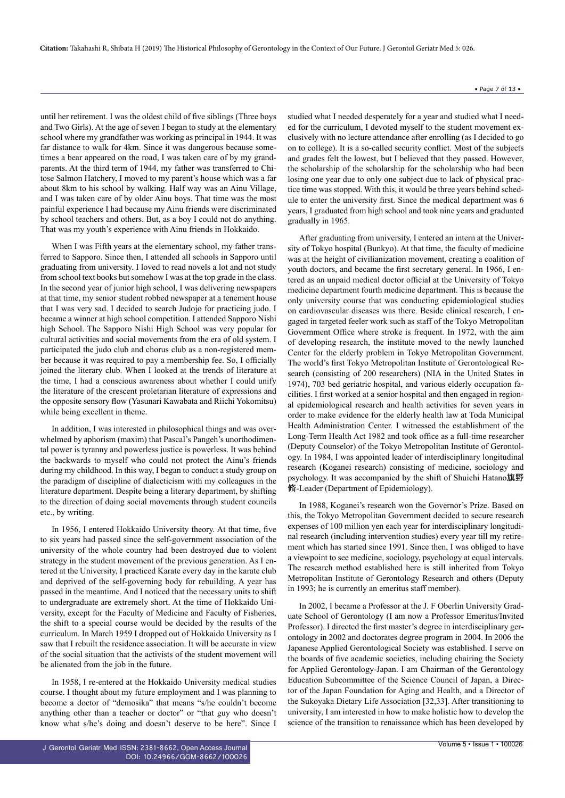until her retirement. I was the oldest child of five siblings (Three boys and Two Girls). At the age of seven I began to study at the elementary school where my grandfather was working as principal in 1944. It was far distance to walk for 4km. Since it was dangerous because sometimes a bear appeared on the road, I was taken care of by my grandparents. At the third term of 1944, my father was transferred to Chitose Salmon Hatchery, I moved to my parent's house which was a far about 8km to his school by walking. Half way was an Ainu Village, and I was taken care of by older Ainu boys. That time was the most painful experience I had because my Ainu friends were discriminated by school teachers and others. But, as a boy I could not do anything. That was my youth's experience with Ainu friends in Hokkaido.

When I was Fifth years at the elementary school, my father transferred to Sapporo. Since then, I attended all schools in Sapporo until graduating from university. I loved to read novels a lot and not study from school text books but somehow I was at the top grade in the class. In the second year of junior high school, I was delivering newspapers at that time, my senior student robbed newspaper at a tenement house that I was very sad. I decided to search Judojo for practicing judo. I became a winner at high school competition. I attended Sapporo Nishi high School. The Sapporo Nishi High School was very popular for cultural activities and social movements from the era of old system. I participated the judo club and chorus club as a non-registered member because it was required to pay a membership fee. So, I officially joined the literary club. When I looked at the trends of literature at the time, I had a conscious awareness about whether I could unify the literature of the crescent proletarian literature of expressions and the opposite sensory flow (Yasunari Kawabata and Riichi Yokomitsu) while being excellent in theme.

In addition, I was interested in philosophical things and was overwhelmed by aphorism (maxim) that Pascal's Pangeh's unorthodimental power is tyranny and powerless justice is powerless. It was behind the backwards to myself who could not protect the Ainu's friends during my childhood. In this way, I began to conduct a study group on the paradigm of discipline of dialecticism with my colleagues in the literature department. Despite being a literary department, by shifting to the direction of doing social movements through student councils etc., by writing.

In 1956, I entered Hokkaido University theory. At that time, five to six years had passed since the self-government association of the university of the whole country had been destroyed due to violent strategy in the student movement of the previous generation. As I entered at the University, I practiced Karate every day in the karate club and deprived of the self-governing body for rebuilding. A year has passed in the meantime. And I noticed that the necessary units to shift to undergraduate are extremely short. At the time of Hokkaido University, except for the Faculty of Medicine and Faculty of Fisheries, the shift to a special course would be decided by the results of the curriculum. In March 1959 I dropped out of Hokkaido University as I saw that I rebuilt the residence association. It will be accurate in view of the social situation that the activists of the student movement will be alienated from the job in the future.

In 1958, I re-entered at the Hokkaido University medical studies course. I thought about my future employment and I was planning to become a doctor of "demosika" that means "s/he couldn't become anything other than a teacher or doctor" or "that guy who doesn't know what s/he's doing and doesn't deserve to be here". Since I

studied what I needed desperately for a year and studied what I needed for the curriculum, I devoted myself to the student movement exclusively with no lecture attendance after enrolling (as I decided to go on to college). It is a so-called security conflict. Most of the subjects and grades felt the lowest, but I believed that they passed. However, the scholarship of the scholarship for the scholarship who had been losing one year due to only one subject due to lack of physical practice time was stopped. With this, it would be three years behind schedule to enter the university first. Since the medical department was 6 years, I graduated from high school and took nine years and graduated gradually in 1965.

After graduating from university, I entered an intern at the University of Tokyo hospital (Bunkyo). At that time, the faculty of medicine was at the height of civilianization movement, creating a coalition of youth doctors, and became the first secretary general. In 1966, I entered as an unpaid medical doctor official at the University of Tokyo medicine department fourth medicine department. This is because the only university course that was conducting epidemiological studies on cardiovascular diseases was there. Beside clinical research, I engaged in targeted feeler work such as staff of the Tokyo Metropolitan Government Office where stroke is frequent. In 1972, with the aim of developing research, the institute moved to the newly launched Center for the elderly problem in Tokyo Metropolitan Government. The world's first Tokyo Metropolitan Institute of Gerontological Research (consisting of 200 researchers) (NIA in the United States in 1974), 703 bed geriatric hospital, and various elderly occupation facilities. I first worked at a senior hospital and then engaged in regional epidemiological research and health activities for seven years in order to make evidence for the elderly health law at Toda Municipal Health Administration Center. I witnessed the establishment of the Long-Term Health Act 1982 and took office as a full-time researcher (Deputy Counselor) of the Tokyo Metropolitan Institute of Gerontology. In 1984, I was appointed leader of interdisciplinary longitudinal research (Koganei research) consisting of medicine, sociology and psychology. It was accompanied by the shift of Shuichi Hatano旗野 脩-Leader (Department of Epidemiology).

In 1988, Koganei's research won the Governor's Prize. Based on this, the Tokyo Metropolitan Government decided to secure research expenses of 100 million yen each year for interdisciplinary longitudinal research (including intervention studies) every year till my retirement which has started since 1991. Since then, I was obliged to have a viewpoint to see medicine, sociology, psychology at equal intervals. The research method established here is still inherited from Tokyo Metropolitan Institute of Gerontology Research and others (Deputy in 1993; he is currently an emeritus staff member).

In 2002, I became a Professor at the J. F Oberlin University Graduate School of Gerontology (I am now a Professor Emeritus/Invited Professor). I directed the first master's degree in interdisciplinary gerontology in 2002 and doctorates degree program in 2004. In 2006 the Japanese Applied Gerontological Society was established. I serve on the boards of five academic societies, including chairing the Society for Applied Gerontology-Japan. I am Chairman of the Gerontology Education Subcommittee of the Science Council of Japan, a Director of the Japan Foundation for Aging and Health, and a Director of the Sukoyaka Dietary Life Association [32,33]. After transitioning to university, I am interested in how to make holistic how to develop the science of the transition to renaissance which has been developed by

• Page 7 of 13 •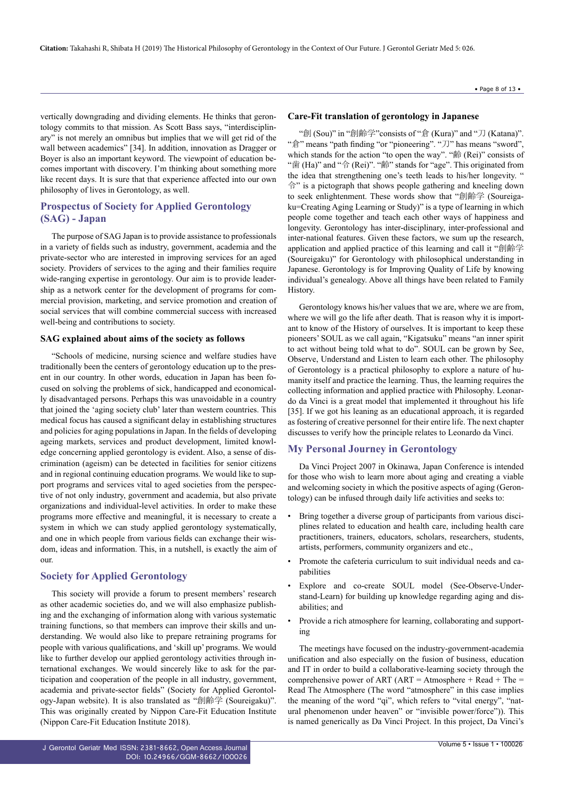vertically downgrading and dividing elements. He thinks that gerontology commits to that mission. As Scott Bass says, "interdisciplinary" is not merely an omnibus but implies that we will get rid of the wall between academics" [34]. In addition, innovation as Dragger or Boyer is also an important keyword. The viewpoint of education becomes important with discovery. I'm thinking about something more like recent days. It is sure that that experience affected into our own philosophy of lives in Gerontology, as well.

## **Prospectus of Society for Applied Gerontology (SAG) - Japan**

The purpose of SAG Japan is to provide assistance to professionals in a variety of fields such as industry, government, academia and the private-sector who are interested in improving services for an aged society. Providers of services to the aging and their families require wide-ranging expertise in gerontology. Our aim is to provide leadership as a network center for the development of programs for commercial provision, marketing, and service promotion and creation of social services that will combine commercial success with increased well-being and contributions to society.

#### **SAG explained about aims of the society as follows**

"Schools of medicine, nursing science and welfare studies have traditionally been the centers of gerontology education up to the present in our country. In other words, education in Japan has been focused on solving the problems of sick, handicapped and economically disadvantaged persons. Perhaps this was unavoidable in a country that joined the 'aging society club' later than western countries. This medical focus has caused a significant delay in establishing structures and policies for aging populations in Japan. In the fields of developing ageing markets, services and product development, limited knowledge concerning applied gerontology is evident. Also, a sense of discrimination (ageism) can be detected in facilities for senior citizens and in regional continuing education programs. We would like to support programs and services vital to aged societies from the perspective of not only industry, government and academia, but also private organizations and individual-level activities. In order to make these programs more effective and meaningful, it is necessary to create a system in which we can study applied gerontology systematically, and one in which people from various fields can exchange their wisdom, ideas and information. This, in a nutshell, is exactly the aim of our.

## **Society for Applied Gerontology**

This society will provide a forum to present members' research as other academic societies do, and we will also emphasize publishing and the exchanging of information along with various systematic training functions, so that members can improve their skills and understanding. We would also like to prepare retraining programs for people with various qualifications, and 'skill up' programs. We would like to further develop our applied gerontology activities through international exchanges. We would sincerely like to ask for the participation and cooperation of the people in all industry, government, academia and private-sector fields" (Society for Applied Gerontology-Japan website). It is also translated as "創齢学 (Soureigaku)". This was originally created by Nippon Care-Fit Education Institute (Nippon Care-Fit Education Institute 2018).

#### • Page 8 of 13 •

#### **Care-Fit translation of gerontology in Japanese**

"創 (Sou)" in "創齢学"consists of "倉 (Kura)" and "刀 (Katana)". "倉" means "path finding "or "pioneering". "刀" has means "sword", which stands for the action "to open the way". "齢 (Rei)" consists of "歯 (Ha)" and "令 (Rei)". "齢" stands for "age". This originated from the idea that strengthening one's teeth leads to his/her longevity. " 令" is a pictograph that shows people gathering and kneeling down to seek enlightenment. These words show that "創齢学 (Soureigaku=Creating Aging Learning or Study)" is a type of learning in which people come together and teach each other ways of happiness and longevity. Gerontology has inter-disciplinary, inter-professional and inter-national features. Given these factors, we sum up the research, application and applied practice of this learning and call it "創齢学 (Soureigaku)" for Gerontology with philosophical understanding in Japanese. Gerontology is for Improving Quality of Life by knowing individual's genealogy. Above all things have been related to Family History.

Gerontology knows his/her values that we are, where we are from, where we will go the life after death. That is reason why it is important to know of the History of ourselves. It is important to keep these pioneers' SOUL as we call again, "Kigatsuku" means "an inner spirit to act without being told what to do". SOUL can be grown by See, Observe, Understand and Listen to learn each other. The philosophy of Gerontology is a practical philosophy to explore a nature of humanity itself and practice the learning. Thus, the learning requires the collecting information and applied practice with Philosophy. Leonardo da Vinci is a great model that implemented it throughout his life [35]. If we got his leaning as an educational approach, it is regarded as fostering of creative personnel for their entire life. The next chapter discusses to verify how the principle relates to Leonardo da Vinci.

## **My Personal Journey in Gerontology**

Da Vinci Project 2007 in Okinawa, Japan Conference is intended for those who wish to learn more about aging and creating a viable and welcoming society in which the positive aspects of aging (Gerontology) can be infused through daily life activities and seeks to:

- Bring together a diverse group of participants from various disciplines related to education and health care, including health care practitioners, trainers, educators, scholars, researchers, students, artists, performers, community organizers and etc.,
- Promote the cafeteria curriculum to suit individual needs and capabilities
- Explore and co-create SOUL model (See-Observe-Understand-Learn) for building up knowledge regarding aging and disabilities; and
- Provide a rich atmosphere for learning, collaborating and supporting

The meetings have focused on the industry-government-academia unification and also especially on the fusion of business, education and IT in order to build a collaborative-learning society through the comprehensive power of ART (ART = Atmosphere + Read + The = Read The Atmosphere (The word "atmosphere" in this case implies the meaning of the word "qi", which refers to "vital energy", "natural phenomenon under heaven" or "invisible power/force")). This is named generically as Da Vinci Project. In this project, Da Vinci's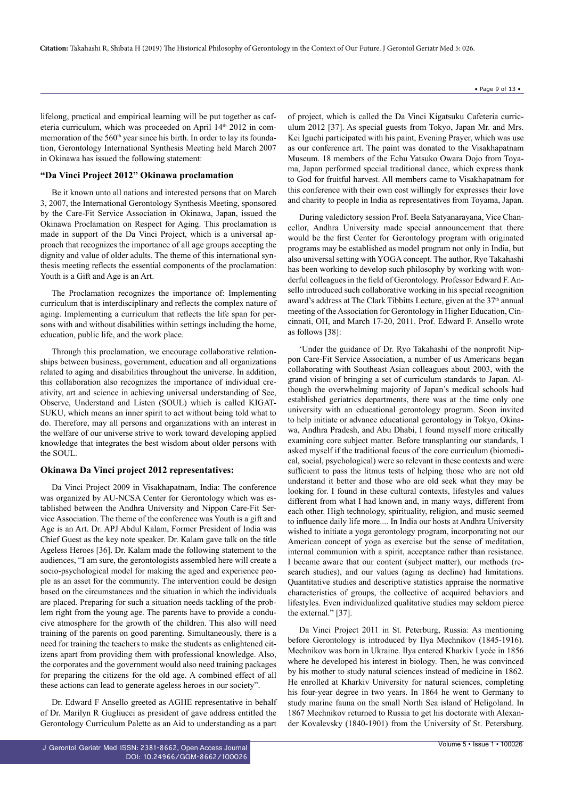lifelong, practical and empirical learning will be put together as cafeteria curriculum, which was proceeded on April 14<sup>th</sup> 2012 in commemoration of the 560<sup>th</sup> year since his birth. In order to lay its foundation, Gerontology International Synthesis Meeting held March 2007 in Okinawa has issued the following statement:

#### **"Da Vinci Project 2012" Okinawa proclamation**

Be it known unto all nations and interested persons that on March 3, 2007, the International Gerontology Synthesis Meeting, sponsored by the Care-Fit Service Association in Okinawa, Japan, issued the Okinawa Proclamation on Respect for Aging. This proclamation is made in support of the Da Vinci Project, which is a universal approach that recognizes the importance of all age groups accepting the dignity and value of older adults. The theme of this international synthesis meeting reflects the essential components of the proclamation: Youth is a Gift and Age is an Art.

The Proclamation recognizes the importance of: Implementing curriculum that is interdisciplinary and reflects the complex nature of aging. Implementing a curriculum that reflects the life span for persons with and without disabilities within settings including the home, education, public life, and the work place.

Through this proclamation, we encourage collaborative relationships between business, government, education and all organizations related to aging and disabilities throughout the universe. In addition, this collaboration also recognizes the importance of individual creativity, art and science in achieving universal understanding of See, Observe, Understand and Listen (SOUL) which is called KIGAT-SUKU, which means an inner spirit to act without being told what to do. Therefore, may all persons and organizations with an interest in the welfare of our universe strive to work toward developing applied knowledge that integrates the best wisdom about older persons with the SOUL.

#### **Okinawa Da Vinci project 2012 representatives:**

Da Vinci Project 2009 in Visakhapatnam, India: The conference was organized by AU-NCSA Center for Gerontology which was established between the Andhra University and Nippon Care-Fit Service Association. The theme of the conference was Youth is a gift and Age is an Art. Dr. APJ Abdul Kalam, Former President of India was Chief Guest as the key note speaker. Dr. Kalam gave talk on the title Ageless Heroes [36]. Dr. Kalam made the following statement to the audiences, "I am sure, the gerontologists assembled here will create a socio-psychological model for making the aged and experience people as an asset for the community. The intervention could be design based on the circumstances and the situation in which the individuals are placed. Preparing for such a situation needs tackling of the problem right from the young age. The parents have to provide a conducive atmosphere for the growth of the children. This also will need training of the parents on good parenting. Simultaneously, there is a need for training the teachers to make the students as enlightened citizens apart from providing them with professional knowledge. Also, the corporates and the government would also need training packages for preparing the citizens for the old age. A combined effect of all these actions can lead to generate ageless heroes in our society".

Dr. Edward F Ansello greeted as AGHE representative in behalf of Dr. Marilyn R Gugliucci as president of gave address entitled the Gerontology Curriculum Palette as an Aid to understanding as a part

of project, which is called the Da Vinci Kigatsuku Cafeteria curriculum 2012 [37]. As special guests from Tokyo, Japan Mr. and Mrs. Kei Iguchi participated with his paint, Evening Prayer, which was use as our conference art. The paint was donated to the Visakhapatnam Museum. 18 members of the Echu Yatsuko Owara Dojo from Toyama, Japan performed special traditional dance, which express thank to God for fruitful harvest. All members came to Visakhapatnam for this conference with their own cost willingly for expresses their love and charity to people in India as representatives from Toyama, Japan.

During valedictory session Prof. Beela Satyanarayana, Vice Chancellor, Andhra University made special announcement that there would be the first Center for Gerontology program with originated programs may be established as model program not only in India, but also universal setting with YOGA concept. The author, Ryo Takahashi has been working to develop such philosophy by working with wonderful colleagues in the field of Gerontology. Professor Edward F. Ansello introduced such collaborative working in his special recognition award's address at The Clark Tibbitts Lecture, given at the  $37<sup>th</sup>$  annual meeting of the Association for Gerontology in Higher Education, Cincinnati, OH, and March 17-20, 2011. Prof. Edward F. Ansello wrote as follows [38]:

'Under the guidance of Dr. Ryo Takahashi of the nonprofit Nippon Care-Fit Service Association, a number of us Americans began collaborating with Southeast Asian colleagues about 2003, with the grand vision of bringing a set of curriculum standards to Japan. Although the overwhelming majority of Japan's medical schools had established geriatrics departments, there was at the time only one university with an educational gerontology program. Soon invited to help initiate or advance educational gerontology in Tokyo, Okinawa, Andhra Pradesh, and Abu Dhabi, I found myself more critically examining core subject matter. Before transplanting our standards, I asked myself if the traditional focus of the core curriculum (biomedical, social, psychological) were so relevant in these contexts and were sufficient to pass the litmus tests of helping those who are not old understand it better and those who are old seek what they may be looking for. I found in these cultural contexts, lifestyles and values different from what I had known and, in many ways, different from each other. High technology, spirituality, religion, and music seemed to influence daily life more.... In India our hosts at Andhra University wished to initiate a yoga gerontology program, incorporating not our American concept of yoga as exercise but the sense of meditation, internal communion with a spirit, acceptance rather than resistance. I became aware that our content (subject matter), our methods (research studies), and our values (aging as decline) had limitations. Quantitative studies and descriptive statistics appraise the normative characteristics of groups, the collective of acquired behaviors and lifestyles. Even individualized qualitative studies may seldom pierce the external." [37].

Da Vinci Project 2011 in St. Peterburg, Russia: As mentioning before Gerontology is introduced by Ilya Mechnikov (1845-1916). Mechnikov was born in Ukraine. Ilya entered Kharkiv Lycée in 1856 where he developed his interest in biology. Then, he was convinced by his mother to study natural sciences instead of medicine in 1862. He enrolled at Kharkiv University for natural sciences, completing his four-year degree in two years. In 1864 he went to Germany to study marine fauna on the small North Sea island of Heligoland. In 1867 Mechnikov returned to Russia to get his doctorate with Alexander Kovalevsky (1840-1901) from the University of St. Petersburg.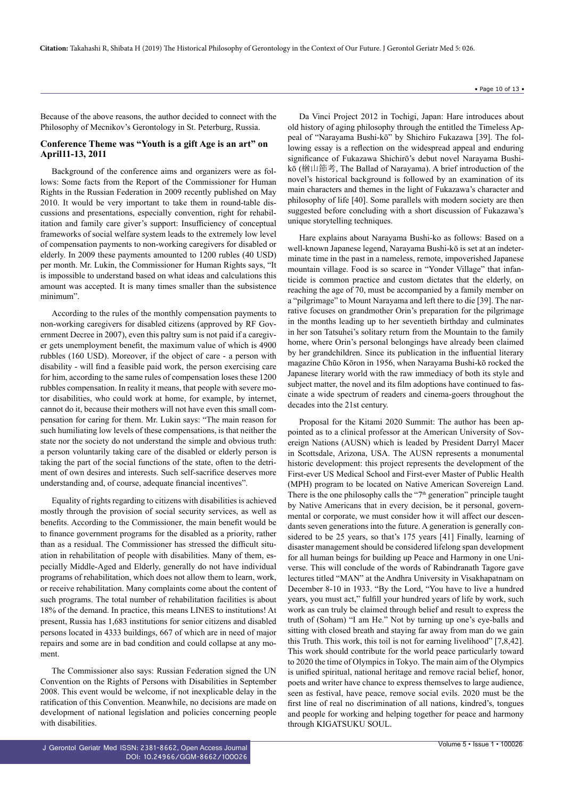Because of the above reasons, the author decided to connect with the Philosophy of Mecnikov's Gerontology in St. Peterburg, Russia.

## **Conference Theme was "Youth is a gift Age is an art" on April11-13, 2011**

Background of the conference aims and organizers were as follows: Some facts from the Report of the Commissioner for Human Rights in the Russian Federation in 2009 recently published on May 2010. It would be very important to take them in round-table discussions and presentations, especially convention, right for rehabilitation and family care giver's support: Insufficiency of conceptual frameworks of social welfare system leads to the extremely low level of compensation payments to non-working caregivers for disabled or elderly. In 2009 these payments amounted to 1200 rubles (40 USD) per month. Mr. Lukin, the Commissioner for Human Rights says, "It is impossible to understand based on what ideas and calculations this amount was accepted. It is many times smaller than the subsistence minimum".

According to the rules of the monthly compensation payments to non-working caregivers for disabled citizens (approved by RF Government Decree in 2007), even this paltry sum is not paid if a caregiver gets unemployment benefit, the maximum value of which is 4900 rubbles (160 USD). Moreover, if the object of care - a person with disability - will find a feasible paid work, the person exercising care for him, according to the same rules of compensation loses these 1200 rubbles compensation. In reality it means, that people with severe motor disabilities, who could work at home, for example, by internet, cannot do it, because their mothers will not have even this small compensation for caring for them. Mr. Lukin says: "The main reason for such humiliating low levels of these compensations, is that neither the state nor the society do not understand the simple and obvious truth: a person voluntarily taking care of the disabled or elderly person is taking the part of the social functions of the state, often to the detriment of own desires and interests. Such self-sacrifice deserves more understanding and, of course, adequate financial incentives".

Equality of rights regarding to citizens with disabilities is achieved mostly through the provision of social security services, as well as benefits. According to the Commissioner, the main benefit would be to finance government programs for the disabled as a priority, rather than as a residual. The Commissioner has stressed the difficult situation in rehabilitation of people with disabilities. Many of them, especially Middle-Aged and Elderly, generally do not have individual programs of rehabilitation, which does not allow them to learn, work, or receive rehabilitation. Many complaints come about the content of such programs. The total number of rehabilitation facilities is about 18% of the demand. In practice, this means LINES to institutions! At present, Russia has 1,683 institutions for senior citizens and disabled persons located in 4333 buildings, 667 of which are in need of major repairs and some are in bad condition and could collapse at any moment.

The Commissioner also says: Russian Federation signed the UN Convention on the Rights of Persons with Disabilities in September 2008. This event would be welcome, if not inexplicable delay in the ratification of this Convention. Meanwhile, no decisions are made on development of national legislation and policies concerning people with disabilities.

Da Vinci Project 2012 in Tochigi, Japan: Hare introduces about old history of aging philosophy through the entitled the Timeless Appeal of "Narayama Bushi-kō" by Shichiro Fukazawa [39]. The following essay is a reflection on the widespread appeal and enduring significance of Fukazawa Shichirō's debut novel Narayama Bushikō (楢山節考, The Ballad of Narayama). A brief introduction of the novel's historical background is followed by an examination of its main characters and themes in the light of Fukazawa's character and philosophy of life [40]. Some parallels with modern society are then suggested before concluding with a short discussion of Fukazawa's unique storytelling techniques.

Hare explains about Narayama Bushi-ko as follows: Based on a well-known Japanese legend, Narayama Bushi-kō is set at an indeterminate time in the past in a nameless, remote, impoverished Japanese mountain village. Food is so scarce in "Yonder Village" that infanticide is common practice and custom dictates that the elderly, on reaching the age of 70, must be accompanied by a family member on a "pilgrimage" to Mount Narayama and left there to die [39]. The narrative focuses on grandmother Orin's preparation for the pilgrimage in the months leading up to her seventieth birthday and culminates in her son Tatsuhei's solitary return from the Mountain to the family home, where Orin's personal belongings have already been claimed by her grandchildren. Since its publication in the influential literary magazine Chūo Kōron in 1956, when Narayama Bushi-kō rocked the Japanese literary world with the raw immediacy of both its style and subject matter, the novel and its film adoptions have continued to fascinate a wide spectrum of readers and cinema-goers throughout the decades into the 21st century.

Proposal for the Kitami 2020 Summit: The author has been appointed as to a clinical professor at the American University of Sovereign Nations (AUSN) which is leaded by President Darryl Macer in Scottsdale, Arizona, USA. The AUSN represents a monumental historic development: this project represents the development of the First-ever US Medical School and First-ever Master of Public Health (MPH) program to be located on Native American Sovereign Land. There is the one philosophy calls the "7<sup>th</sup> generation" principle taught by Native Americans that in every decision, be it personal, governmental or corporate, we must consider how it will affect our descendants seven generations into the future. A generation is generally considered to be 25 years, so that's 175 years [41] Finally, learning of disaster management should be considered lifelong span development for all human beings for building up Peace and Harmony in one Universe. This will conclude of the words of Rabindranath Tagore gave lectures titled "MAN" at the Andhra University in Visakhapatnam on December 8-10 in 1933. "By the Lord, "You have to live a hundred years, you must act," fulfill your hundred years of life by work, such work as can truly be claimed through belief and result to express the truth of (Soham) "I am He." Not by turning up one's eye-balls and sitting with closed breath and staying far away from man do we gain this Truth. This work, this toil is not for earning livelihood" [7,8,42]. This work should contribute for the world peace particularly toward to 2020 the time of Olympics in Tokyo. The main aim of the Olympics is unified spiritual, national heritage and remove racial belief, honor, poets and writer have chance to express themselves to large audience, seen as festival, have peace, remove social evils. 2020 must be the first line of real no discrimination of all nations, kindred's, tongues and people for working and helping together for peace and harmony through KIGATSUKU SOUL.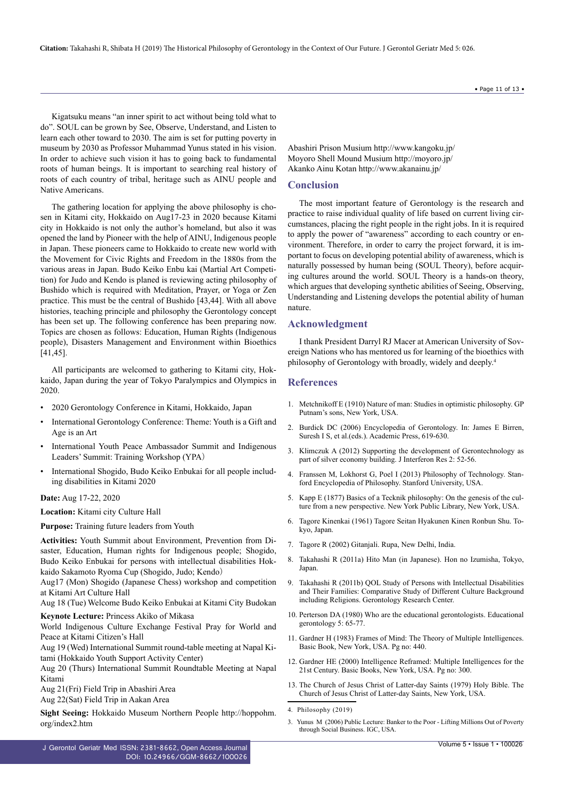**Citation:** Takahashi R, Shibata H (2019) The Historical Philosophy of Gerontology in the Context of Our Future. J Gerontol Geriatr Med 5: 026.

Kigatsuku means "an inner spirit to act without being told what to do". SOUL can be grown by See, Observe, Understand, and Listen to learn each other toward to 2030. The aim is set for putting poverty in museum by 2030 as Professor Muhammad Yunus stated in his vision. In order to achieve such vision it has to going back to fundamental roots of human beings. It is important to searching real history of roots of each country of tribal, heritage such as AINU people and Native Americans.

The gathering location for applying the above philosophy is chosen in Kitami city, Hokkaido on Aug17-23 in 2020 because Kitami city in Hokkaido is not only the author's homeland, but also it was opened the land by Pioneer with the help of AINU, Indigenous people in Japan. These pioneers came to Hokkaido to create new world with the Movement for Civic Rights and Freedom in the 1880s from the various areas in Japan. Budo Keiko Enbu kai (Martial Art Competition) for Judo and Kendo is planed is reviewing acting philosophy of Bushido which is required with Meditation, Prayer, or Yoga or Zen practice. This must be the central of Bushido [43,44]. With all above histories, teaching principle and philosophy the Gerontology concept has been set up. The following conference has been preparing now. Topics are chosen as follows: Education, Human Rights (Indigenous people), Disasters Management and Environment within Bioethics [41,45].

All participants are welcomed to gathering to Kitami city, Hokkaido, Japan during the year of Tokyo Paralympics and Olympics in 2020.

- 2020 Gerontology Conference in Kitami, Hokkaido, Japan
- International Gerontology Conference: Theme: Youth is a Gift and Age is an Art
- International Youth Peace Ambassador Summit and Indigenous Leaders' Summit: Training Workshop (YPA)
- International Shogido, Budo Keiko Enbukai for all people including disabilities in Kitami 2020

## **Date:** Aug 17-22, 2020

**Location:** Kitami city Culture Hall

**Purpose:** Training future leaders from Youth

**Activities:** Youth Summit about Environment, Prevention from Disaster, Education, Human rights for Indigenous people; Shogido, Budo Keiko Enbukai for persons with intellectual disabilities Hokkaido Sakamoto Ryoma Cup (Shogido, Judo; Kendo)

Aug17 (Mon) Shogido (Japanese Chess) workshop and competition at Kitami Art Culture Hall

Aug 18 (Tue) Welcome Budo Keiko Enbukai at Kitami City Budokan

**Keynote Lecture:** Princess Akiko of Mikasa

World Indigenous Culture Exchange Festival Pray for World and Peace at Kitami Citizen's Hall

Aug 19 (Wed) International Summit round-table meeting at Napal Kitami (Hokkaido Youth Support Activity Center)

Aug 20 (Thurs) International Summit Roundtable Meeting at Napal Kitami

Aug 21(Fri) Field Trip in Abashiri Area

Aug 22(Sat) Field Trip in Aakan Area

**Sight Seeing:** Hokkaido Museum Northern People http://hoppohm. org/index2.htm

J Gerontol Geriatr Med ISSN: 2381-8662, Open Access Journal DOI: [10.24966/GGM-8662/10002](http://doi.org/10.24966/GGM-8662/100026)6

Abashiri Prison Musium http://www.kangoku.jp/ Moyoro Shell Mound Musium http://moyoro.jp/ Akanko Ainu Kotan http://www.akanainu.jp/

#### **Conclusion**

The most important feature of Gerontology is the research and practice to raise individual quality of life based on current living circumstances, placing the right people in the right jobs. In it is required to apply the power of "awareness" according to each country or environment. Therefore, in order to carry the project forward, it is important to focus on developing potential ability of awareness, which is naturally possessed by human being (SOUL Theory), before acquiring cultures around the world. SOUL Theory is a hands-on theory, which argues that developing synthetic abilities of Seeing, Observing, Understanding and Listening develops the potential ability of human nature.

#### **Acknowledgment**

I thank President Darryl RJ Macer at American University of Sovereign Nations who has mentored us for learning of the bioethics with philosophy of Gerontology with broadly, widely and deeply.4

#### **References**

- 1. [Metchnikoff E \(1910\) Nature of man: Studies in optimistic philosophy. GP](https://www.abebooks.co.uk/servlet/BookDetailsPL?bi=22828571534&searchurl=sortby%3D17%26tn%3Dnature%2Bman%2Bstudies%2Boptimistic%2Bphilosophy%26an%3Dmetchnikoff%2Belie&cm_sp=snippet-_-srp2-_-title29) [Putnam's sons, New York, USA](https://www.abebooks.co.uk/servlet/BookDetailsPL?bi=22828571534&searchurl=sortby%3D17%26tn%3Dnature%2Bman%2Bstudies%2Boptimistic%2Bphilosophy%26an%3Dmetchnikoff%2Belie&cm_sp=snippet-_-srp2-_-title29).
- 2. Burdick DC (2006) Encyclopedia of Gerontology. In: James E Birren, Suresh I S, et al.(eds.). Academic Press, 619-630.
- 3. [Klimczuk A \(2012\) Supporting the development of Gerontechnology as](http://www.magnanimitas.cz/ADALTA/0202/papers/A_klimczuk.pdf) [part of silver economy building. J Interferon Res 2: 52-56.](http://www.magnanimitas.cz/ADALTA/0202/papers/A_klimczuk.pdf)
- 4. [Franssen M, Lokhorst G, Poel I \(2013\) Philosophy of Technology. Stan](https://plato.stanford.edu/entries/technology/)[ford Encyclopedia of Philosophy. Stanford University, USA.](https://plato.stanford.edu/entries/technology/)
- 5. [Kapp E \(1877\) Basics of a Tecknik philosophy: On the genesis of the cul](https://translate.google.co.in/translate?hl=en&sl=de&u=https://archive.org/details/grundlinieneine00kappgoog&prev=search)[ture from a new perspective. New York Public Library, New York, USA.](https://translate.google.co.in/translate?hl=en&sl=de&u=https://archive.org/details/grundlinieneine00kappgoog&prev=search)
- 6. Tagore Kinenkai (1961) Tagore Seitan Hyakunen Kinen Ronbun Shu. Tokyo, Japan.
- 7. [Tagore R \(2002\) Gitanjali. Rupa, New Delhi, India.](http://rupapublications.co.in/books/gitanjalirabindranath-tagore/)
- 8. Takahashi R (2011a) Hito Man (in Japanese). Hon no Izumisha, Tokyo, Japan.
- 9. Takahashi R (2011b) QOL Study of Persons with Intellectual Disabilities and Their Families: Comparative Study of Different Culture Background including Religions. Gerontology Research Center.
- 10. [Perterson DA \(1980\) Who are the educational gerontologists. Educational](https://www.tandfonline.com/doi/abs/10.1080/0360hyp800050105) [gerontology 5: 65-77.](https://www.tandfonline.com/doi/abs/10.1080/0360hyp800050105)
- 11. [Gardner H \(1983\) Frames of Mind: The Theory of Multiple Intelligences.](https://books.google.co.in/books?id=_hWdAAAAMAAJ&q=Gardner+H+(1983)+Frames+of+Mind,+Basic+Books&dq=Gardner+H+(1983)+Frames+of+Mind,+Basic+Books&hl=en&sa=X&ved=0ahUKEwjwzZb32LjhAhVf73MBHStoAzYQ6AEIKDAA) [Basic Book, New York, USA. Pg no: 440.](https://books.google.co.in/books?id=_hWdAAAAMAAJ&q=Gardner+H+(1983)+Frames+of+Mind,+Basic+Books&dq=Gardner+H+(1983)+Frames+of+Mind,+Basic+Books&hl=en&sa=X&ved=0ahUKEwjwzZb32LjhAhVf73MBHStoAzYQ6AEIKDAA)
- 12. [Gardner HE \(2000\) Intelligence Reframed: Multiple Intelligences for the](https://books.google.co.in/books?id=pU4gAQAAQBAJ&dq=Intelligence+Reframed+Multiple+Intelligences+for+the+21st+century&hl=en&sa=X&ved=0ahUKEwib5sfk2bjhAhVBVXwKHYMrBT8Q6AEILjAB) [21st Century. Basic Books, New York, USA. Pg no: 300.](https://books.google.co.in/books?id=pU4gAQAAQBAJ&dq=Intelligence+Reframed+Multiple+Intelligences+for+the+21st+century&hl=en&sa=X&ved=0ahUKEwib5sfk2bjhAhVBVXwKHYMrBT8Q6AEILjAB)
- 13. [The Church of Jesus Christ of Latter-day Saints \(1979\) Holy Bible. The](https://www.lds.org/scriptures/bible?lang=eng) [Church of Jesus Christ of Latter-day Saints, New York, USA.](https://www.lds.org/scriptures/bible?lang=eng)

3. [Yunus M \(2006\) Public Lecture: Banker to the Poor - Lifting Millions Out of Poverty](https://www.theigc.org/about/our-model/) [through Social Business. IGC, USA.](https://www.theigc.org/about/our-model/)

• Page 11 of 13 •

<sup>4.</sup> [Philosophy \(2019\)](https://en.wikipedia.org/wiki/Philosophy)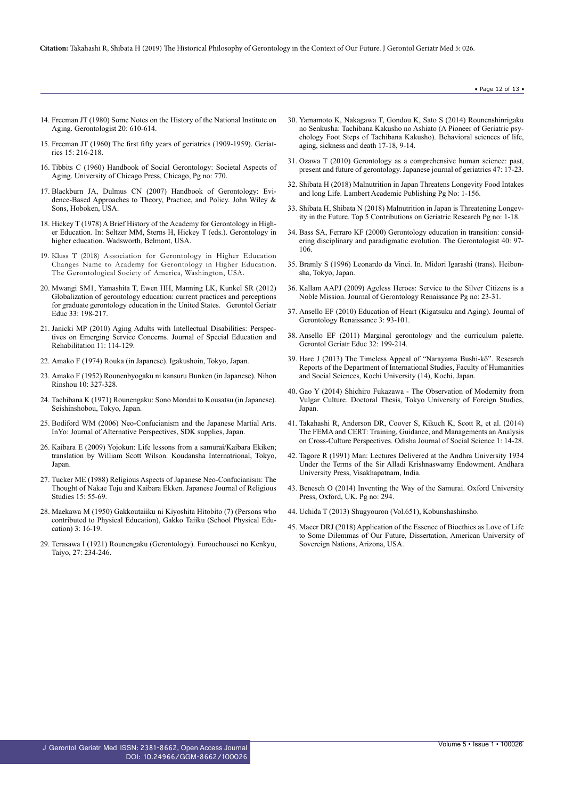- 14. [Freeman JT \(1980\) Some Notes on the History of the National Institute on](https://academic.oup.com/gerontologist/article-abstract/20/5_Part_1/610/577636) [Aging. Gerontologist 20: 610-614.](https://academic.oup.com/gerontologist/article-abstract/20/5_Part_1/610/577636)
- 15. [Freeman JT \(1960\) The first fifty years of geriatrics \(1909-1959\). Geriat](https://www.ncbi.nlm.nih.gov/pubmed/13824746)[rics 15: 216-218.](https://www.ncbi.nlm.nih.gov/pubmed/13824746)
- 16. [Tibbits C \(1960\) Handbook of Social Gerontology: Societal Aspects of](https://academic.oup.com/sw/article-abstract/6/3/126/1877926?redirectedFrom=fulltext) [Aging. University of Chicago Press, Chicago, Pg no: 770.](https://academic.oup.com/sw/article-abstract/6/3/126/1877926?redirectedFrom=fulltext)
- 17. [Blackburn JA, Dulmus CN \(2007\) Handbook of Gerontology: Evi](https://www.wiley.com/en-us/Handbook+of+Gerontology%3A+Evidence+Based+Approaches+to+Theory%2C+Practice%2C+and+Policy-p-9781118269640)[dence-Based Approaches to Theory, Practice, and Policy. John Wiley &](https://www.wiley.com/en-us/Handbook+of+Gerontology%3A+Evidence+Based+Approaches+to+Theory%2C+Practice%2C+and+Policy-p-9781118269640) [Sons, Hoboken, USA.](https://www.wiley.com/en-us/Handbook+of+Gerontology%3A+Evidence+Based+Approaches+to+Theory%2C+Practice%2C+and+Policy-p-9781118269640)
- 18. [Hickey T \(1978\) A Brief History of the Academy for Gerontology in High](https://www.aghe.org/about-us/aghe-history)[er Education. In: Seltzer MM, Sterns H, Hickey T \(eds.\). Gerontology in](https://www.aghe.org/about-us/aghe-history) [higher education. Wadsworth, Belmont, USA.](https://www.aghe.org/about-us/aghe-history)
- 19. [Kluss T \(2018\) Association for Gerontology in Higher Education](https://www.geron.org/press-room/press-releases/2018-press-releases/851-association-for-gerontology-in-higher-education-changes-name-to-academy-for-gerontology-in-higher-education) [Changes Name to Academy for Gerontology in Higher Education.](https://www.geron.org/press-room/press-releases/2018-press-releases/851-association-for-gerontology-in-higher-education-changes-name-to-academy-for-gerontology-in-higher-education) [The Gerontological Society of America, Washington, USA.](https://www.geron.org/press-room/press-releases/2018-press-releases/851-association-for-gerontology-in-higher-education-changes-name-to-academy-for-gerontology-in-higher-education)
- 20. [Mwangi SM1, Yamashita T, Ewen HH, Manning LK, Kunkel SR \(2012\)](https://www.ncbi.nlm.nih.gov/pubmed/22490075) [Globalization of gerontology education: current practices and perceptions](https://www.ncbi.nlm.nih.gov/pubmed/22490075) [for graduate gerontology education in the United States.](https://www.ncbi.nlm.nih.gov/pubmed/22490075) Gerontol Geriatr [Educ 33: 198-217.](https://www.ncbi.nlm.nih.gov/pubmed/22490075)
- 21. [Janicki MP \(2010\) Aging Adults with Intellectual Disabilities: Perspec](https://www.questia.com/library/journal/1P3-2081727421/aging-adults-with-intellectual-disabilities-perspectives)[tives on Emerging Service Concerns. Journal of Special Education and](https://www.questia.com/library/journal/1P3-2081727421/aging-adults-with-intellectual-disabilities-perspectives) [Rehabilitation 11: 114-129.](https://www.questia.com/library/journal/1P3-2081727421/aging-adults-with-intellectual-disabilities-perspectives)
- 22. Amako F (1974) Rouka (in Japanese). Igakushoin, Tokyo, Japan.
- 23. Amako F (1952) Rounenbyogaku ni kansuru Bunken (in Japanese). Nihon Rinshou 10: 327-328.
- 24. Tachibana K (1971) Rounengaku: Sono Mondai to Kousatsu (in Japanese). Seishinshobou, Tokyo, Japan.
- 25. [Bodiford WM \(2006\) Neo-Confucianism and the Japanese Martial Arts.](https://ejmas.com/jalt/2006jalt/jcsart_bodiford_0206.html) [InYo: Journal of Alternative Perspectives, SDK supplies, Japan.](https://ejmas.com/jalt/2006jalt/jcsart_bodiford_0206.html)
- 26. [Kaibara E \(2009\) Yojokun: Life lessons from a samurai/Kaibara Ekiken;](https://trove.nla.gov.au/work/27705426?q&versionId=33420531) [translation by William Scott Wilson. Koudansha Internatrional, Tokyo,](https://trove.nla.gov.au/work/27705426?q&versionId=33420531) [Japan.](https://trove.nla.gov.au/work/27705426?q&versionId=33420531)
- 27. Tucker ME (1988) Religious Aspects of Japanese Neo-Confucianism: The Thought of Nakae Toju and Kaibara Ekken. Japanese Journal of Religious Studies 15: 55-69.
- 28. Maekawa M (1950) Gakkoutaiiku ni Kiyoshita Hitobito (7) (Persons who contributed to Physical Education), Gakko Taiiku (School Physical Education) 3: 16-19.
- 29. Terasawa I (1921) Rounengaku (Gerontology). Furouchousei no Kenkyu, Taiyo, 27: 234-246.
- 30. Yamamoto K, Nakagawa T, Gondou K, Sato S (2014) Rounenshinrigaku no Senkusha: Tachibana Kakusho no Ashiato (A Pioneer of Geriatric psychology Foot Steps of Tachibana Kakusho). Behavioral sciences of life, aging, sickness and death 17-18, 9-14.
- 31. [Ozawa T \(2010\) Gerontology as a comprehensive human science: past,](https://www.jstage.jst.go.jp/article/geriatrics/47/1/47_1_17/_article/-char/en) [present and future of gerontology. Japanese journal of geriatrics 47: 17-23.](https://www.jstage.jst.go.jp/article/geriatrics/47/1/47_1_17/_article/-char/en)
- 32. [Shibata H \(2018\) Malnutrition in Japan Threatens Longevity Food Intakes](https://webcache.googleusercontent.com/search?q=cache:qEYKpRBUl2cJ:https://www.morebooks.de/store/gb/book/malnutrition-in-japan-threatens-longevity/isbn/978-613-9-97012-4+&cd=1&hl=en&ct=clnk&gl=in) [and long Life. Lambert Academic Publishing Pg No: 1-156.](https://webcache.googleusercontent.com/search?q=cache:qEYKpRBUl2cJ:https://www.morebooks.de/store/gb/book/malnutrition-in-japan-threatens-longevity/isbn/978-613-9-97012-4+&cd=1&hl=en&ct=clnk&gl=in)
- 33. [Shibata H, Shibata N \(2018\) Malnutrition in Japan is Threatening Longev](http://www.avidscience.com/wp-content/uploads/2017/10/Malnutrition-in-Japan-is-Threatening-Longevity-in-the-Future.pdf)[ity in the Future. Top 5 Contributions on Geriatric Research Pg no: 1-18.](http://www.avidscience.com/wp-content/uploads/2017/10/Malnutrition-in-Japan-is-Threatening-Longevity-in-the-Future.pdf)
- 34. [Bass SA, Ferraro KF \(2000\) Gerontology education in transition: consid](https://academic.oup.com/gerontologist/article/40/1/97/720561)[ering disciplinary and paradigmatic evolution. The Gerontologist 40: 97-](https://academic.oup.com/gerontologist/article/40/1/97/720561) [106.](https://academic.oup.com/gerontologist/article/40/1/97/720561)
- 35. Bramly S (1996) Leonardo da Vinci. In. Midori Igarashi (trans). Heibonsha, Tokyo, Japan.
- 36. Kallam AAPJ (2009) Ageless Heroes: Service to the Silver Citizens is a Noble Mission. Journal of Gerontology Renaissance Pg no: 23-31.
- 37. Ansello EF (2010) Education of Heart (Kigatsuku and Aging). Journal of Gerontology Renaissance 3: 93-101.
- 38. [Ansello EF \(2011\) Marginal gerontology and the curriculum palette.](https://www.ncbi.nlm.nih.gov/pubmed/21846231) [Gerontol Geriatr Educ 32: 199-214.](https://www.ncbi.nlm.nih.gov/pubmed/21846231)
- 39. Hare J (2013) The Timeless Appeal of "Narayama Bushi-kō". Research Reports of the Department of International Studies, Faculty of Humanities and Social Sciences, Kochi University (14), Kochi, Japan.
- 40. [Gao Y \(2014\) Shichiro Fukazawa The Observation of Modernity from](http://www.tufs.ac.jp/common/is/kyoumu/pg/pdf/188_GAOYAN_youshi_e.pdf) [Vulgar Culture. Doctoral Thesis, Tokyo University of Foreign Studies,](http://www.tufs.ac.jp/common/is/kyoumu/pg/pdf/188_GAOYAN_youshi_e.pdf) [Japan.](http://www.tufs.ac.jp/common/is/kyoumu/pg/pdf/188_GAOYAN_youshi_e.pdf)
- 41. Takahashi R, Anderson DR, Coover S, Kikuch K, Scott R, et al. (2014) The FEMA and CERT: Training, Guidance, and Managements an Analysis on Cross-Culture Perspectives. Odisha Journal of Social Science 1: 14-28.
- 42. [Tagore R \(1991\) Man: Lectures Delivered at the Andhra University 1934](https://books.google.co.in/books?id=W9R1PAAACAAJ&dq=Man+Tagore+1934&hl=en&sa=X&ved=0ahUKEwjshr3tt5vbAhUGsJQKHa-3DIEQ6AEILTAB) [Under the Terms of the Sir Alladi Krishnaswamy Endowment. Andhara](https://books.google.co.in/books?id=W9R1PAAACAAJ&dq=Man+Tagore+1934&hl=en&sa=X&ved=0ahUKEwjshr3tt5vbAhUGsJQKHa-3DIEQ6AEILTAB) [University Press, Visakhapatnam, India.](https://books.google.co.in/books?id=W9R1PAAACAAJ&dq=Man+Tagore+1934&hl=en&sa=X&ved=0ahUKEwjshr3tt5vbAhUGsJQKHa-3DIEQ6AEILTAB)
- 43. [Benesch O \(2014\) Inventing the Way of the Samurai. Oxford University](https://global.oup.com/academic/product/inventing-the-way-of-the-samurai-9780198706625?cc=in&lang=en&) [Press, Oxford, UK. Pg no: 294.](https://global.oup.com/academic/product/inventing-the-way-of-the-samurai-9780198706625?cc=in&lang=en&)
- 44. Uchida T (2013) Shugyouron (Vol.651), Kobunshashinsho.
- 45. Macer DRJ (2018) Application of the Essence of Bioethics as Love of Life to Some Dilemmas of Our Future, Dissertation, American University of Sovereign Nations, Arizona, USA.